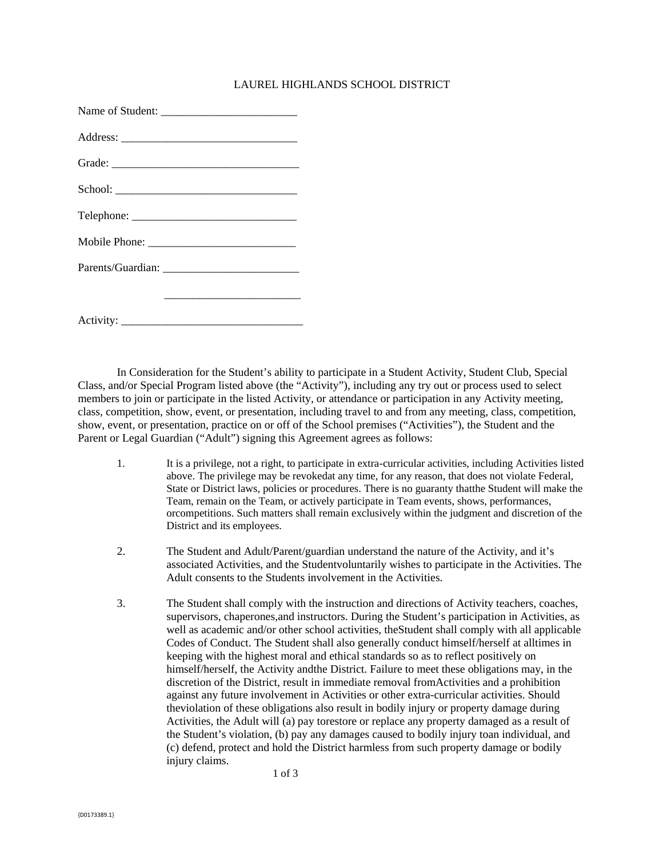## LAUREL HIGHLANDS SCHOOL DISTRICT

In Consideration for the Student's ability to participate in a Student Activity, Student Club, Special Class, and/or Special Program listed above (the "Activity"), including any try out or process used to select members to join or participate in the listed Activity, or attendance or participation in any Activity meeting, class, competition, show, event, or presentation, including travel to and from any meeting, class, competition, show, event, or presentation, practice on or off of the School premises ("Activities"), the Student and the Parent or Legal Guardian ("Adult") signing this Agreement agrees as follows:

- 1. It is a privilege, not a right, to participate in extra-curricular activities, including Activities listed above. The privilege may be revokedat any time, for any reason, that does not violate Federal, State or District laws, policies or procedures. There is no guaranty thatthe Student will make the Team, remain on the Team, or actively participate in Team events, shows, performances, orcompetitions. Such matters shall remain exclusively within the judgment and discretion of the District and its employees.
- 2. The Student and Adult/Parent/guardian understand the nature of the Activity, and it's associated Activities, and the Studentvoluntarily wishes to participate in the Activities. The Adult consents to the Students involvement in the Activities.
- 3. The Student shall comply with the instruction and directions of Activity teachers, coaches, supervisors, chaperones,and instructors. During the Student's participation in Activities, as well as academic and/or other school activities, theStudent shall comply with all applicable Codes of Conduct. The Student shall also generally conduct himself/herself at alltimes in keeping with the highest moral and ethical standards so as to reflect positively on himself/herself, the Activity andthe District. Failure to meet these obligations may, in the discretion of the District, result in immediate removal fromActivities and a prohibition against any future involvement in Activities or other extra-curricular activities. Should theviolation of these obligations also result in bodily injury or property damage during Activities, the Adult will (a) pay torestore or replace any property damaged as a result of the Student's violation, (b) pay any damages caused to bodily injury toan individual, and (c) defend, protect and hold the District harmless from such property damage or bodily injury claims.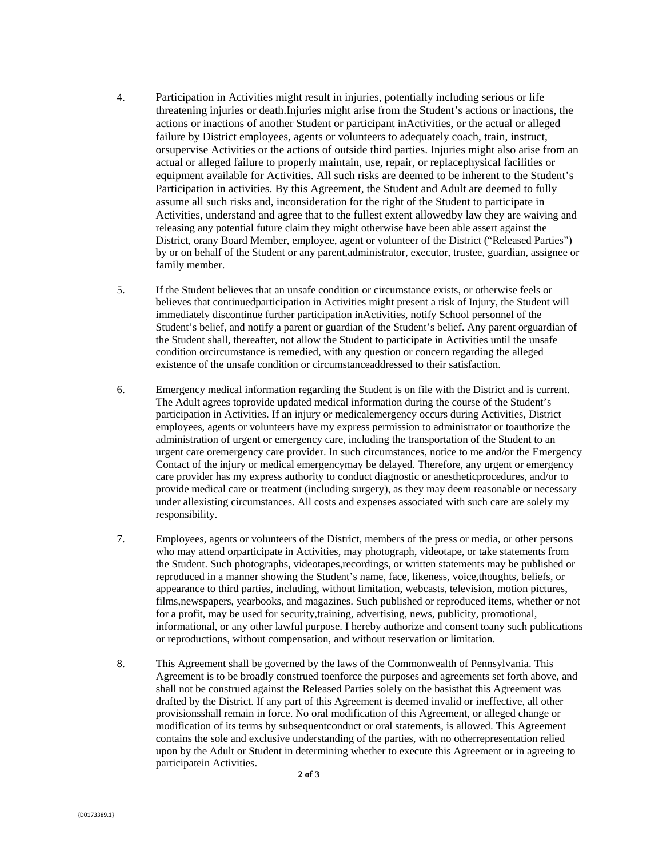- 4. Participation in Activities might result in injuries, potentially including serious or life threatening injuries or death.Injuries might arise from the Student's actions or inactions, the actions or inactions of another Student or participant inActivities, or the actual or alleged failure by District employees, agents or volunteers to adequately coach, train, instruct, orsupervise Activities or the actions of outside third parties. Injuries might also arise from an actual or alleged failure to properly maintain, use, repair, or replacephysical facilities or equipment available for Activities. All such risks are deemed to be inherent to the Student's Participation in activities. By this Agreement, the Student and Adult are deemed to fully assume all such risks and, inconsideration for the right of the Student to participate in Activities, understand and agree that to the fullest extent allowedby law they are waiving and releasing any potential future claim they might otherwise have been able assert against the District, orany Board Member, employee, agent or volunteer of the District ("Released Parties") by or on behalf of the Student or any parent,administrator, executor, trustee, guardian, assignee or family member.
- 5. If the Student believes that an unsafe condition or circumstance exists, or otherwise feels or believes that continuedparticipation in Activities might present a risk of Injury, the Student will immediately discontinue further participation inActivities, notify School personnel of the Student's belief, and notify a parent or guardian of the Student's belief. Any parent orguardian of the Student shall, thereafter, not allow the Student to participate in Activities until the unsafe condition orcircumstance is remedied, with any question or concern regarding the alleged existence of the unsafe condition or circumstanceaddressed to their satisfaction.
- 6. Emergency medical information regarding the Student is on file with the District and is current. The Adult agrees toprovide updated medical information during the course of the Student's participation in Activities. If an injury or medicalemergency occurs during Activities, District employees, agents or volunteers have my express permission to administrator or toauthorize the administration of urgent or emergency care, including the transportation of the Student to an urgent care oremergency care provider. In such circumstances, notice to me and/or the Emergency Contact of the injury or medical emergencymay be delayed. Therefore, any urgent or emergency care provider has my express authority to conduct diagnostic or anestheticprocedures, and/or to provide medical care or treatment (including surgery), as they may deem reasonable or necessary under allexisting circumstances. All costs and expenses associated with such care are solely my responsibility.
- 7. Employees, agents or volunteers of the District, members of the press or media, or other persons who may attend orparticipate in Activities, may photograph, videotape, or take statements from the Student. Such photographs, videotapes,recordings, or written statements may be published or reproduced in a manner showing the Student's name, face, likeness, voice,thoughts, beliefs, or appearance to third parties, including, without limitation, webcasts, television, motion pictures, films,newspapers, yearbooks, and magazines. Such published or reproduced items, whether or not for a profit, may be used for security,training, advertising, news, publicity, promotional, informational, or any other lawful purpose. I hereby authorize and consent toany such publications or reproductions, without compensation, and without reservation or limitation.
- 8. This Agreement shall be governed by the laws of the Commonwealth of Pennsylvania. This Agreement is to be broadly construed toenforce the purposes and agreements set forth above, and shall not be construed against the Released Parties solely on the basisthat this Agreement was drafted by the District. If any part of this Agreement is deemed invalid or ineffective, all other provisionsshall remain in force. No oral modification of this Agreement, or alleged change or modification of its terms by subsequentconduct or oral statements, is allowed. This Agreement contains the sole and exclusive understanding of the parties, with no otherrepresentation relied upon by the Adult or Student in determining whether to execute this Agreement or in agreeing to participatein Activities.